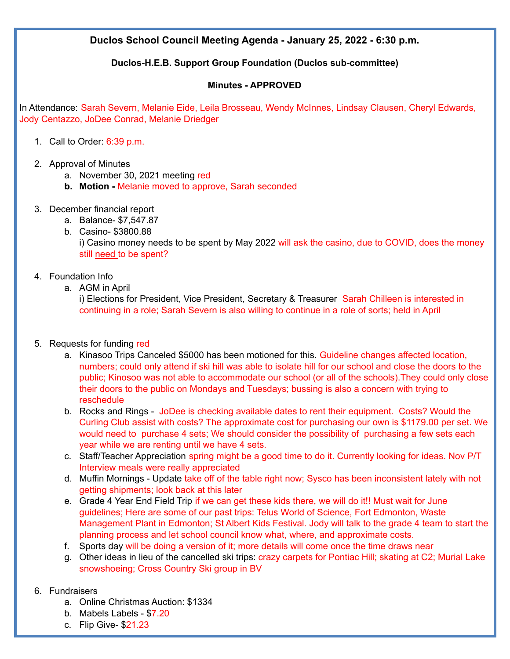**Duclos School Council Meeting Agenda - January 25, 2022 - 6:30 p.m.**

### **Duclos-H.E.B. Support Group Foundation (Duclos sub-committee)**

#### **Minutes - APPROVED**

In Attendance: Sarah Severn, Melanie Eide, Leila Brosseau, Wendy McInnes, Lindsay Clausen, Cheryl Edwards, Jody Centazzo, JoDee Conrad, Melanie Driedger

- 1. Call to Order: 6:39 p.m.
- 2. Approval of Minutes
	- a. November 30, 2021 meeting red
	- **b. Motion -** Melanie moved to approve, Sarah seconded
- 3. December financial report
	- a. Balance- \$7,547.87
	- b. Casino- \$3800.88

i) Casino money needs to be spent by May 2022 will ask the casino, due to COVID, does the money still need to be spent?

- 4. Foundation Info
	- a. AGM in April

i) Elections for President, Vice President, Secretary & Treasurer Sarah Chilleen is interested in continuing in a role; Sarah Severn is also willing to continue in a role of sorts; held in April

- 5. Requests for funding red
	- a. Kinasoo Trips Canceled \$5000 has been motioned for this. Guideline changes affected location, numbers; could only attend if ski hill was able to isolate hill for our school and close the doors to the public; Kinosoo was not able to accommodate our school (or all of the schools).They could only close their doors to the public on Mondays and Tuesdays; bussing is also a concern with trying to reschedule
	- b. Rocks and Rings JoDee is checking available dates to rent their equipment. Costs? Would the Curling Club assist with costs? The approximate cost for purchasing our own is \$1179.00 per set. We would need to purchase 4 sets; We should consider the possibility of purchasing a few sets each year while we are renting until we have 4 sets.
	- c. Staff/Teacher Appreciation spring might be a good time to do it. Currently looking for ideas. Nov P/T Interview meals were really appreciated
	- d. Muffin Mornings Update take off of the table right now; Sysco has been inconsistent lately with not getting shipments; look back at this later
	- e. Grade 4 Year End Field Trip if we can get these kids there, we will do it!! Must wait for June guidelines; Here are some of our past trips: Telus World of Science, Fort Edmonton, Waste Management Plant in Edmonton; St Albert Kids Festival. Jody will talk to the grade 4 team to start the planning process and let school council know what, where, and approximate costs.
	- f. Sports day will be doing a version of it; more details will come once the time draws near
	- g. Other ideas in lieu of the cancelled ski trips: crazy carpets for Pontiac Hill; skating at C2; Murial Lake snowshoeing; Cross Country Ski group in BV
- 6. Fundraisers
	- a. Online Christmas Auction: \$1334
	- b. Mabels Labels \$7.20
	- c. Flip Give- \$21.23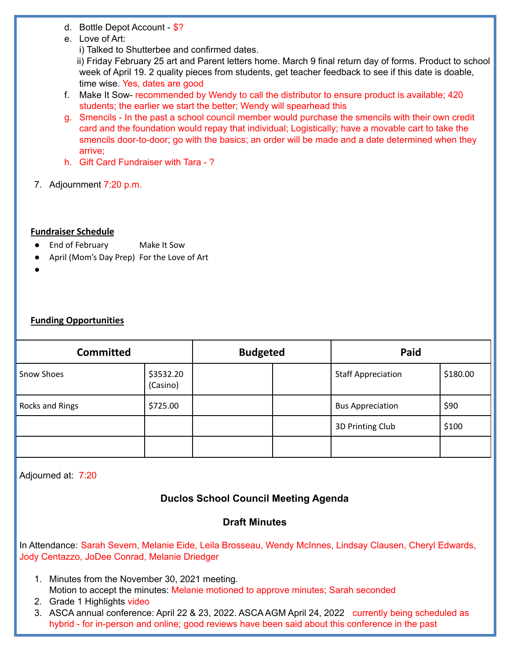- d. Bottle Depot Account \$?
- e. Love of Art:
	- i) Talked to Shutterbee and confirmed dates.

ii) Friday February 25 art and Parent letters home. March 9 final return day of forms. Product to school week of April 19. 2 quality pieces from students, get teacher feedback to see if this date is doable, time wise. Yes, dates are good

- f. Make It Sow- recommended by Wendy to call the distributor to ensure product is available; 420 students; the earlier we start the better; Wendy will spearhead this
- g. Smencils In the past a school council member would purchase the smencils with their own credit card and the foundation would repay that individual; Logistically; have a movable cart to take the smencils door-to-door; go with the basics; an order will be made and a date determined when they arrive;
- h. Gift Card Fundraiser with Tara ?
- 7. Adjournment 7:20 p.m.

### **Fundraiser Schedule**

- End of February Make It Sow
- April (Mom's Day Prep) For the Love of Art
- ●

## **Funding Opportunities**

| <b>Committed</b>  |                       | <b>Budgeted</b> |  | Paid                      |          |
|-------------------|-----------------------|-----------------|--|---------------------------|----------|
| <b>Snow Shoes</b> | \$3532.20<br>(Casino) |                 |  | <b>Staff Appreciation</b> | \$180.00 |
| Rocks and Rings   | \$725.00              |                 |  | <b>Bus Appreciation</b>   | \$90     |
|                   |                       |                 |  | 3D Printing Club          | \$100    |
|                   |                       |                 |  |                           |          |

Adjourned at: 7:20

# **Duclos School Council Meeting Agenda**

# **Draft Minutes**

In Attendance: Sarah Severn, Melanie Eide, Leila Brosseau, Wendy McInnes, Lindsay Clausen, Cheryl Edwards, Jody Centazzo, JoDee Conrad, Melanie Driedger

- 1. Minutes from the November 30, 2021 meeting. Motion to accept the minutes: Melanie motioned to approve minutes; Sarah seconded
- 2. Grade 1 Highlights video
- 3. ASCA annual conference: April 22 & 23, 2022. ASCA AGM April 24, 2022 currently being scheduled as hybrid - for in-person and online; good reviews have been said about this conference in the past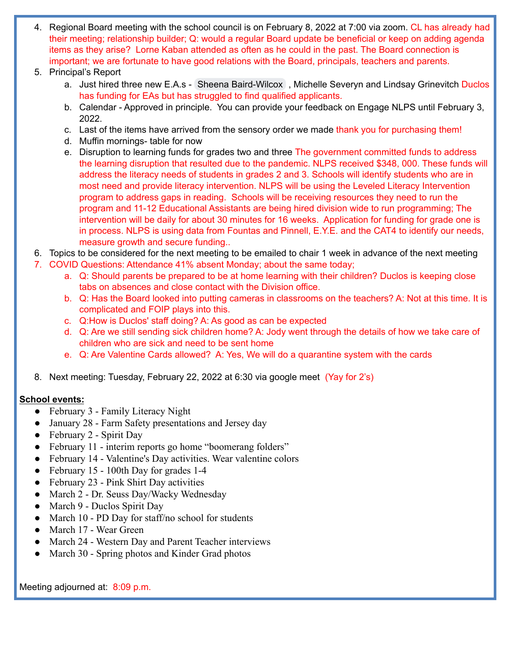- 4. Regional Board meeting with the school council is on February 8, 2022 at 7:00 via zoom. CL has already had their meeting; relationship builder; Q: would a regular Board update be beneficial or keep on adding agenda items as they arise? Lorne Kaban attended as often as he could in the past. The Board connection is important; we are fortunate to have good relations with the Board, principals, teachers and parents.
- 5. Principal's Report
	- a. Just hired three new E.A.s Sheena [Baird-Wilcox](mailto:sheena.bairdwilcox@nlsd.ab.ca) , Michelle Severyn and Lindsay Grinevitch Duclos has funding for EAs but has struggled to find qualified applicants.
	- b. Calendar Approved in principle. You can provide your feedback on Engage NLPS until February 3, 2022.
	- c. Last of the items have arrived from the sensory order we made thank you for purchasing them!
	- d. Muffin mornings- table for now
	- e. Disruption to learning funds for grades two and three The government committed funds to address the learning disruption that resulted due to the pandemic. NLPS received \$348, 000. These funds will address the literacy needs of students in grades 2 and 3. Schools will identify students who are in most need and provide literacy intervention. NLPS will be using the Leveled Literacy Intervention program to address gaps in reading. Schools will be receiving resources they need to run the program and 11-12 Educational Assistants are being hired division wide to run programming; The intervention will be daily for about 30 minutes for 16 weeks. Application for funding for grade one is in process. NLPS is using data from Fountas and Pinnell, E.Y.E. and the CAT4 to identify our needs, measure growth and secure funding..
- 6. Topics to be considered for the next meeting to be emailed to chair 1 week in advance of the next meeting
- 7. COVID Questions: Attendance 41% absent Monday; about the same today;
	- a. Q: Should parents be prepared to be at home learning with their children? Duclos is keeping close tabs on absences and close contact with the Division office.
	- b. Q: Has the Board looked into putting cameras in classrooms on the teachers? A: Not at this time. It is complicated and FOIP plays into this.
	- c. Q:How is Duclos' staff doing? A: As good as can be expected
	- d. Q: Are we still sending sick children home? A: Jody went through the details of how we take care of children who are sick and need to be sent home
	- e. Q: Are Valentine Cards allowed? A: Yes, We will do a quarantine system with the cards
- 8. Next meeting: Tuesday, February 22, 2022 at 6:30 via google meet (Yay for 2's)

### **School events:**

- February 3 Family Literacy Night
- January 28 Farm Safety presentations and Jersey day
- February 2 Spirit Day
- February 11 interim reports go home "boomerang folders"
- February 14 Valentine's Day activities. Wear valentine colors
- February 15 100th Day for grades 1-4
- February 23 Pink Shirt Day activities
- March 2 Dr. Seuss Day/Wacky Wednesday
- March 9 Duclos Spirit Day
- March 10 PD Day for staff/no school for students
- March 17 Wear Green
- March 24 Western Day and Parent Teacher interviews
- March 30 Spring photos and Kinder Grad photos

Meeting adjourned at: 8:09 p.m.